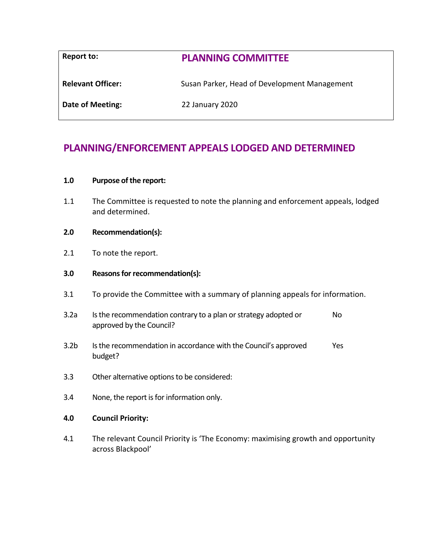| Report to:               | <b>PLANNING COMMITTEE</b>                    |
|--------------------------|----------------------------------------------|
| <b>Relevant Officer:</b> | Susan Parker, Head of Development Management |
| Date of Meeting:         | 22 January 2020                              |

# **PLANNING/ENFORCEMENT APPEALS LODGED AND DETERMINED**

#### **1.0 Purpose of the report:**

1.1 The Committee is requested to note the planning and enforcement appeals, lodged and determined.

### **2.0 Recommendation(s):**

2.1 To note the report.

#### **3.0 Reasons for recommendation(s):**

- 3.1 To provide the Committee with a summary of planning appeals for information.
- 3.2a Is the recommendation contrary to a plan or strategy adopted or approved by the Council? No
- 3.2b Is the recommendation in accordance with the Council's approved budget? Yes
- 3.3 Other alternative options to be considered:
- 3.4 None, the report is for information only.

#### **4.0 Council Priority:**

4.1 The relevant Council Priority is 'The Economy: maximising growth and opportunity across Blackpool'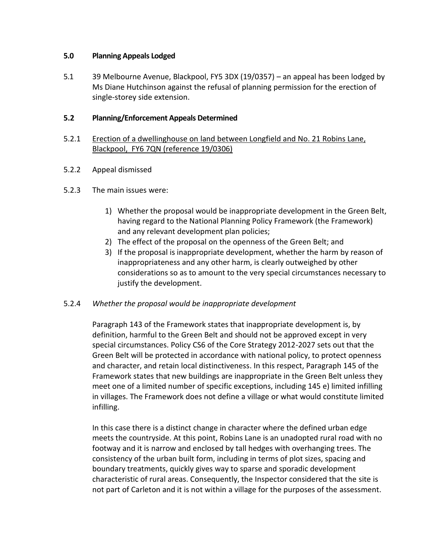## **5.0 Planning Appeals Lodged**

5.1 39 Melbourne Avenue, Blackpool, FY5 3DX (19/0357) – an appeal has been lodged by Ms Diane Hutchinson against the refusal of planning permission for the erection of single-storey side extension.

# **5.2 Planning/Enforcement Appeals Determined**

# 5.2.1 Erection of a dwellinghouse on land between Longfield and No. 21 Robins Lane, Blackpool, FY6 7QN (reference 19/0306)

- 5.2.2 Appeal dismissed
- 5.2.3 The main issues were:
	- 1) Whether the proposal would be inappropriate development in the Green Belt, having regard to the National Planning Policy Framework (the Framework) and any relevant development plan policies;
	- 2) The effect of the proposal on the openness of the Green Belt; and
	- 3) If the proposal is inappropriate development, whether the harm by reason of inappropriateness and any other harm, is clearly outweighed by other considerations so as to amount to the very special circumstances necessary to justify the development.

# 5.2.4 *Whether the proposal would be inappropriate development*

Paragraph 143 of the Framework states that inappropriate development is, by definition, harmful to the Green Belt and should not be approved except in very special circumstances. Policy CS6 of the Core Strategy 2012-2027 sets out that the Green Belt will be protected in accordance with national policy, to protect openness and character, and retain local distinctiveness. In this respect, Paragraph 145 of the Framework states that new buildings are inappropriate in the Green Belt unless they meet one of a limited number of specific exceptions, including 145 e) limited infilling in villages. The Framework does not define a village or what would constitute limited infilling.

In this case there is a distinct change in character where the defined urban edge meets the countryside. At this point, Robins Lane is an unadopted rural road with no footway and it is narrow and enclosed by tall hedges with overhanging trees. The consistency of the urban built form, including in terms of plot sizes, spacing and boundary treatments, quickly gives way to sparse and sporadic development characteristic of rural areas. Consequently, the Inspector considered that the site is not part of Carleton and it is not within a village for the purposes of the assessment.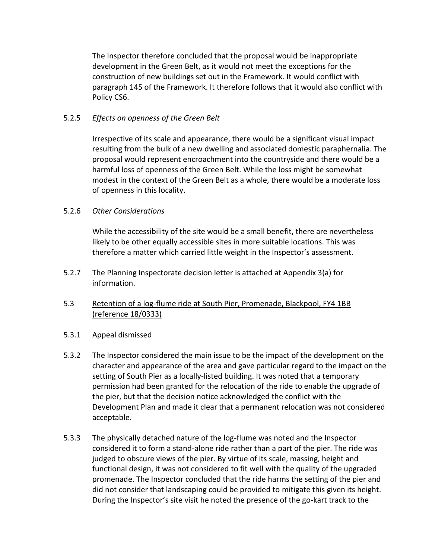The Inspector therefore concluded that the proposal would be inappropriate development in the Green Belt, as it would not meet the exceptions for the construction of new buildings set out in the Framework. It would conflict with paragraph 145 of the Framework. It therefore follows that it would also conflict with Policy CS6.

# 5.2.5 *Effects on openness of the Green Belt*

Irrespective of its scale and appearance, there would be a significant visual impact resulting from the bulk of a new dwelling and associated domestic paraphernalia. The proposal would represent encroachment into the countryside and there would be a harmful loss of openness of the Green Belt. While the loss might be somewhat modest in the context of the Green Belt as a whole, there would be a moderate loss of openness in this locality.

## 5.2.6 *Other Considerations*

While the accessibility of the site would be a small benefit, there are nevertheless likely to be other equally accessible sites in more suitable locations. This was therefore a matter which carried little weight in the Inspector's assessment.

- 5.2.7 The Planning Inspectorate decision letter is attached at Appendix 3(a) for information.
- 5.3 Retention of a log-flume ride at South Pier, Promenade, Blackpool, FY4 1BB (reference 18/0333)
- 5.3.1 Appeal dismissed
- 5.3.2 The Inspector considered the main issue to be the impact of the development on the character and appearance of the area and gave particular regard to the impact on the setting of South Pier as a locally-listed building. It was noted that a temporary permission had been granted for the relocation of the ride to enable the upgrade of the pier, but that the decision notice acknowledged the conflict with the Development Plan and made it clear that a permanent relocation was not considered acceptable.
- 5.3.3 The physically detached nature of the log-flume was noted and the Inspector considered it to form a stand-alone ride rather than a part of the pier. The ride was judged to obscure views of the pier. By virtue of its scale, massing, height and functional design, it was not considered to fit well with the quality of the upgraded promenade. The Inspector concluded that the ride harms the setting of the pier and did not consider that landscaping could be provided to mitigate this given its height. During the Inspector's site visit he noted the presence of the go-kart track to the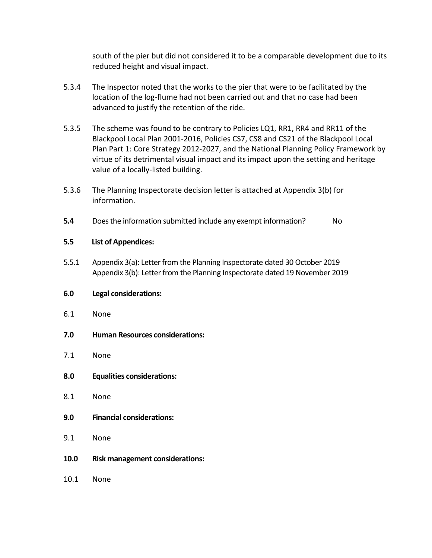south of the pier but did not considered it to be a comparable development due to its reduced height and visual impact.

- 5.3.4 The Inspector noted that the works to the pier that were to be facilitated by the location of the log-flume had not been carried out and that no case had been advanced to justify the retention of the ride.
- 5.3.5 The scheme was found to be contrary to Policies LQ1, RR1, RR4 and RR11 of the Blackpool Local Plan 2001-2016, Policies CS7, CS8 and CS21 of the Blackpool Local Plan Part 1: Core Strategy 2012-2027, and the National Planning Policy Framework by virtue of its detrimental visual impact and its impact upon the setting and heritage value of a locally-listed building.
- 5.3.6 The Planning Inspectorate decision letter is attached at Appendix 3(b) for information.
- **5.4** Does the information submitted include any exempt information? No

## **5.5 List of Appendices:**

5.5.1 Appendix 3(a): Letter from the Planning Inspectorate dated 30 October 2019 Appendix 3(b): Letter from the Planning Inspectorate dated 19 November 2019

### **6.0 Legal considerations:**

- 6.1 None
- **7.0 Human Resources considerations:**
- 7.1 None
- **8.0 Equalities considerations:**
- 8.1 None
- **9.0 Financial considerations:**
- 9.1 None
- **10.0 Risk management considerations:**
- 10.1 None